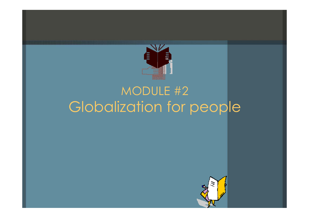

# MODULE #2 Globalization for people

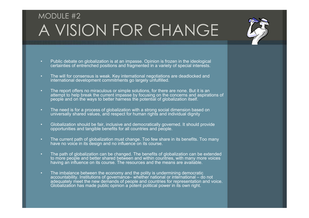## MODULE #2A VISION FOR CHANGE



- Public debate on globalization is at an impasse. Opinion is frozen in the ideological certainties of entrenched positions and fragmented in a variety of special interests.
- The will for consensus is weak. Key international negotiations are deadlocked and international development commitments go largely unfulfilled.
- The report offers no miraculous or simple solutions, for there are none. But it is an attempt to help break the current impasse by focusing on the concerns and aspirations of people and on the ways to better harness the potential of globalization itself.
- The need is for a process of globalization with a strong social dimension based on universally shared values, and respect for human rights and individual dignity
- Globalization should be fair, inclusive and democratically governed. It should provide opportunities and tangible benefits for all countries and people.
- The current path of globalization must change. Too few share in its benefits. Too many have no voice in its design and no influence on its course.
- The path of globalization can be changed. The benefits of globalization can be extended to more people and better shared between and within countries, with many more voices having an influence on its course. The resources and the means are available.
- The imbalance between the economy and the polity is undermining democratic accountability. Institutions of governance– whether national or international – do not adequately meet the new demands of people and countries for representation and voice. Globalization has made public opinion a potent political power in its own right.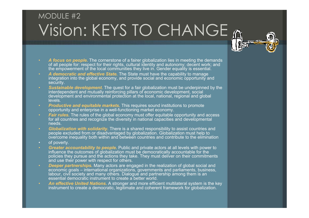## MODULE #2Vision: KEYS TO CHANGE n



- • *A focus on people.* The cornerstone of a fairer globalization lies in meeting the demands of all people for: respect for their rights, cultural identity and autonomy; decent work; and the empowerment of the local communities they live in. Gender equality is essential.
- *A democratic and effective State.* The State must have the capability to manage integration into the global economy, and provide social and economic opportunity and security.
- *Sustainable development.* The quest for a fair globalization must be underpinned by the interdependent and mutually reinforcing pillars of economic development, social development and environmental protection at the local, national, regional and global levels.
- *Productive and equitable markets.* This requires sound institutions to promote opportunity and enterprise in a well-functioning market economy.
- *Fair rules.* The rules of the global economy must offer equitable opportunity and access for all countries and recognize the diversity in national capacities and developmental needs.
- *Globalization with solidarity.* There is a shared responsibility to assist countries and people excluded from or disadvantaged by globalization. Globalization must help to overcome inequality both within and between countries and contribute to the elimination
- of poverty.
- *Greater accountability to people.* Public and private actors at all levels with power to influence the outcomes of globalization must be democratically accountable for the policies they pursue and the actions they take. They must deliver on their commitments and use their power with respect for others.
- *Deeper partnerships.* Many actors are engaged in the realization of global social and economic goals – international organizations, governments and parliaments, business, labour, civil society and many others. Dialogue and partnership among them is an essential democratic instrument to create a better world.
- *An effective United Nations.* A stronger and more efficient multilateral system is the key instrument to create a democratic, legitimate and coherent framework for globalization.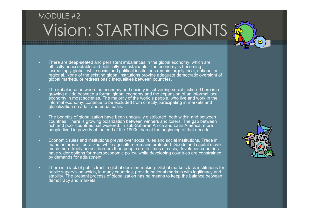#### MODULE #2Vision: STARTING POINTS



- There are deep-seated and persistent imbalances in the global economy, which are ethically unacceptable and politically unsustainable. The economy is becoming increasingly global, while social and political institutions remain largely local, national or regional. None of the existing global institutions provide adequate democratic oversight of global markets, or redress basic inequalities between countries.
- The imbalance between the economy and society is subverting social justice. There is a growing divide between a formal global economy and the expansion of an informal local economy in most societies. The majority of the world's people, who live and work in the informal economy, continue to be excluded from directly participating in markets and globalization on a fair and equal basis.
- • The benefits of globalization have been unequally distributed, both within and between countries. There is growing polarization between winners and losers. The gap between rich and poor countries has widened. In sub-Saharan Africa and Latin America, more people lived in poverty at the end of the 1990s than at the beginning of that decade.
- Economic rules and institutions prevail over social rules and social institutions. Trade in manufactures is liberalized, while agriculture remains protected. Goods and capital move much more freely across borders than people do. In times of crisis, developed countries have wider options for macroeconomic policy, while developing countries are constrained by demands for adjustment.
- There is a lack of public trust in global decision-making. Global markets lack institutions for public supervision which, in many countries, provide national markets with legitimacy and stability. The present process of globalization has no means to keep the balance between democracy and markets.

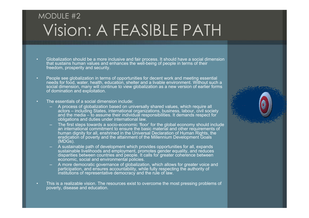### MODULE #2Vision: A FEASIBLE PATH

- • Globalization should be a more inclusive and fair process. It should have a social dimension that sustains human values and enhances the well-being of people in terms of their freedom, prosperity and security.
- People see globalization in terms of opportunities for decent work and meeting essential needs for food, water, health, education, shelter and a livable environment. Without such a social dimension, many will continue to view globalization as a new version of earlier forms of domination and exploitation.
- • The essentials of a social dimension include:
	- A process of globalization based on universally shared values, which require all actors – including States, international organizations, business, labour, civil society and the media – to assume their individual responsibilities. It demands respect for obligations and duties under international law.
	- The first steps towards a socio-economic 'floor' for the global economy should include an international commitment to ensure the basic material and other requirements of human dignity for all, enshrined in the Universal Declaration of Human Rights, the eradication of poverty and the attainment of the Millennium Development Goals (MDGs).
	- A sustainable path of development which provides opportunities for all, expands sustainable livelihoods and employment, promotes gender equality, and reduces disparities between countries and people. It calls for greater coherence between economic, social and environmental policies.
	- A more democratic governance of globalization, which allows for greater voice and participation, and ensures accountability, while fully respecting the authority of institutions of representative democracy and the rule of law.
- This is a realizable vision. The resources exist to overcome the most pressing problems of poverty, disease and education.

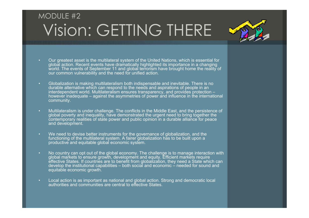## MODULE #2Vision: GETTING THERE



- • Our greatest asset is the multilateral system of the United Nations, which is essential for global action. Recent events have dramatically highlighted its importance in a changing world. The events of September 11 and global terrorism have brought home the reality of our common vulnerability and the need for unified action.
- Globalization is making multilateralism both indispensable and inevitable. There is no durable alternative which can respond to the needs and aspirations of people in an interdependent world. Multilateralism ensures transparency, and provides protection  $$ however inadequate – against the asymmetries of power and influence in the international community.
- Multilateralism is under challenge. The conflicts in the Middle East, and the persistence of global poverty and inequality, have demonstrated the urgent need to bring together the contemporary realities of state power and public opinion in a durable alliance for peace and development.
- We need to devise better instruments for the governance of globalization, and the functioning of the multilateral system. A fairer globalization has to be built upon a productive and equitable global economic system.
- No country can opt out of the global economy. The challenge is to manage interaction with global markets to ensure growth, development and equity. Efficient markets require effective States. If countries are to benefit from globalization, they need a State which can develop the institutional capabilities – both social and economic – needed for sound and equitable economic growth.
- Local action is as important as national and global action. Strong and democratic local authorities and communities are central to effective States.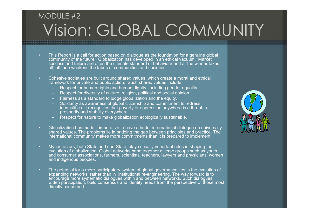#### MODULE #2Vision: GLOBAL COMMUNITY

- • This Report is a call for action based on dialogue as the foundation for a genuine global community of the future. Globalization has developed in an ethical vacuum. Market success and failure are often the ultimate standard of behaviour and a "the winner takes all" attitude weakens the fabric of communities and societies.
- Cohesive societies are built around shared values, which create a moral and ethical framework for private and public action. Such shared values include,
	- Respect for human rights and human dignity, including gender equality.
	- Respect for diversity of culture, religion, political and social opinion.
	- Fairness as a standard to judge globalization and the equity.
	- Solidarity as awareness of global citizenship and commitment to redress inequalities. It recognizes that poverty or oppression anywhere is a threat to prosperity and stability everywhere.
	- Respect for nature to make globalization ecologically sustainable.
- • Globalization has made it imperative to have a better international dialogue on universally shared values. The problems lie in bridging the gap between principles and practice. The international community makes more commitments than it is prepared to implement.
- Myriad actors, both State and non-State, play critically important roles in shaping the evolution of globalization. Global networks bring together diverse groups such as youth and consumer associations, farmers, scientists, teachers, lawyers and physicians, women and indigenous peoples.
- • The potential for a more participatory system of global governance lies in the evolution of expanding networks, rather than in institutional re-engineering. The way forward is to encourage more systematic dialogues within and between networks. Such dialogues widen participation, build consensus and identify needs from the perspective of those most directly concerned.